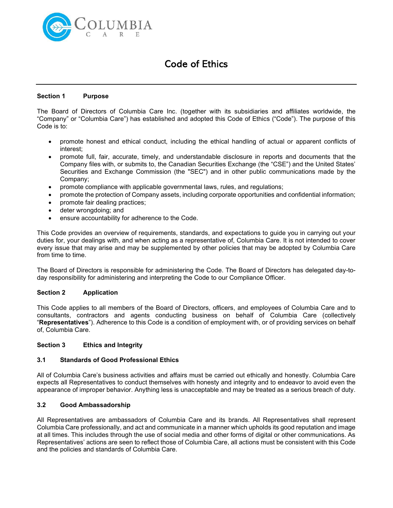

# Code of Ethics

#### Section 1 Purpose

The Board of Directors of Columbia Care Inc. (together with its subsidiaries and affiliates worldwide, the "Company" or "Columbia Care") has established and adopted this Code of Ethics ("Code"). The purpose of this Code is to:

- promote honest and ethical conduct, including the ethical handling of actual or apparent conflicts of interest;
- promote full, fair, accurate, timely, and understandable disclosure in reports and documents that the Company files with, or submits to, the Canadian Securities Exchange (the "CSE") and the United States' Securities and Exchange Commission (the "SEC") and in other public communications made by the Company;
- promote compliance with applicable governmental laws, rules, and regulations;
- promote the protection of Company assets, including corporate opportunities and confidential information;
- promote fair dealing practices;
- deter wrongdoing; and
- ensure accountability for adherence to the Code.

This Code provides an overview of requirements, standards, and expectations to guide you in carrying out your duties for, your dealings with, and when acting as a representative of, Columbia Care. It is not intended to cover every issue that may arise and may be supplemented by other policies that may be adopted by Columbia Care from time to time.

The Board of Directors is responsible for administering the Code. The Board of Directors has delegated day-today responsibility for administering and interpreting the Code to our Compliance Officer.

#### Section 2 Application

This Code applies to all members of the Board of Directors, officers, and employees of Columbia Care and to consultants, contractors and agents conducting business on behalf of Columbia Care (collectively "Representatives"). Adherence to this Code is a condition of employment with, or of providing services on behalf of, Columbia Care.

#### Section 3 Ethics and Integrity

#### 3.1 Standards of Good Professional Ethics

All of Columbia Care's business activities and affairs must be carried out ethically and honestly. Columbia Care expects all Representatives to conduct themselves with honesty and integrity and to endeavor to avoid even the appearance of improper behavior. Anything less is unacceptable and may be treated as a serious breach of duty.

#### 3.2 Good Ambassadorship

All Representatives are ambassadors of Columbia Care and its brands. All Representatives shall represent Columbia Care professionally, and act and communicate in a manner which upholds its good reputation and image at all times. This includes through the use of social media and other forms of digital or other communications. As Representatives' actions are seen to reflect those of Columbia Care, all actions must be consistent with this Code and the policies and standards of Columbia Care.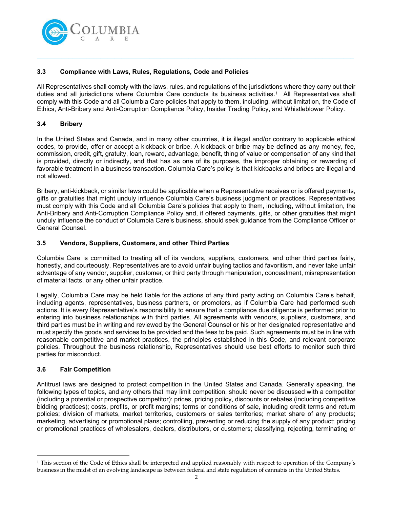

# 3.3 Compliance with Laws, Rules, Regulations, Code and Policies

All Representatives shall comply with the laws, rules, and regulations of the jurisdictions where they carry out their duties and all jurisdictions where Columbia Care conducts its business activities.<sup>1</sup> All Representatives shall comply with this Code and all Columbia Care policies that apply to them, including, without limitation, the Code of Ethics, Anti-Bribery and Anti-Corruption Compliance Policy, Insider Trading Policy, and Whistleblower Policy.

 $\_$  , and the set of the set of the set of the set of the set of the set of the set of the set of the set of the set of the set of the set of the set of the set of the set of the set of the set of the set of the set of th

## 3.4 Bribery

In the United States and Canada, and in many other countries, it is illegal and/or contrary to applicable ethical codes, to provide, offer or accept a kickback or bribe. A kickback or bribe may be defined as any money, fee, commission, credit, gift, gratuity, loan, reward, advantage, benefit, thing of value or compensation of any kind that is provided, directly or indirectly, and that has as one of its purposes, the improper obtaining or rewarding of favorable treatment in a business transaction. Columbia Care's policy is that kickbacks and bribes are illegal and not allowed.

Bribery, anti-kickback, or similar laws could be applicable when a Representative receives or is offered payments, gifts or gratuities that might unduly influence Columbia Care's business judgment or practices. Representatives must comply with this Code and all Columbia Care's policies that apply to them, including, without limitation, the Anti-Bribery and Anti-Corruption Compliance Policy and, if offered payments, gifts, or other gratuities that might unduly influence the conduct of Columbia Care's business, should seek guidance from the Compliance Officer or General Counsel.

# 3.5 Vendors, Suppliers, Customers, and other Third Parties

Columbia Care is committed to treating all of its vendors, suppliers, customers, and other third parties fairly, honestly, and courteously. Representatives are to avoid unfair buying tactics and favoritism, and never take unfair advantage of any vendor, supplier, customer, or third party through manipulation, concealment, misrepresentation of material facts, or any other unfair practice.

Legally, Columbia Care may be held liable for the actions of any third party acting on Columbia Care's behalf, including agents, representatives, business partners, or promoters, as if Columbia Care had performed such actions. It is every Representative's responsibility to ensure that a compliance due diligence is performed prior to entering into business relationships with third parties. All agreements with vendors, suppliers, customers, and third parties must be in writing and reviewed by the General Counsel or his or her designated representative and must specify the goods and services to be provided and the fees to be paid. Such agreements must be in line with reasonable competitive and market practices, the principles established in this Code, and relevant corporate policies. Throughout the business relationship, Representatives should use best efforts to monitor such third parties for misconduct.

# 3.6 Fair Competition

Antitrust laws are designed to protect competition in the United States and Canada. Generally speaking, the following types of topics, and any others that may limit competition, should never be discussed with a competitor (including a potential or prospective competitor): prices, pricing policy, discounts or rebates (including competitive bidding practices); costs, profits, or profit margins; terms or conditions of sale, including credit terms and return policies; division of markets, market territories, customers or sales territories; market share of any products; marketing, advertising or promotional plans; controlling, preventing or reducing the supply of any product; pricing or promotional practices of wholesalers, dealers, distributors, or customers; classifying, rejecting, terminating or

<sup>1</sup> This section of the Code of Ethics shall be interpreted and applied reasonably with respect to operation of the Company's business in the midst of an evolving landscape as between federal and state regulation of cannabis in the United States.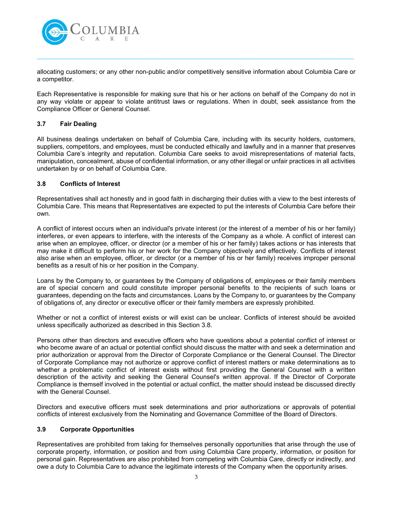

allocating customers; or any other non-public and/or competitively sensitive information about Columbia Care or a competitor.

 $\_$  , and the set of the set of the set of the set of the set of the set of the set of the set of the set of the set of the set of the set of the set of the set of the set of the set of the set of the set of the set of th

Each Representative is responsible for making sure that his or her actions on behalf of the Company do not in any way violate or appear to violate antitrust laws or regulations. When in doubt, seek assistance from the Compliance Officer or General Counsel.

# 3.7 Fair Dealing

All business dealings undertaken on behalf of Columbia Care, including with its security holders, customers, suppliers, competitors, and employees, must be conducted ethically and lawfully and in a manner that preserves Columbia Care's integrity and reputation. Columbia Care seeks to avoid misrepresentations of material facts, manipulation, concealment, abuse of confidential information, or any other illegal or unfair practices in all activities undertaken by or on behalf of Columbia Care.

#### 3.8 Conflicts of Interest

Representatives shall act honestly and in good faith in discharging their duties with a view to the best interests of Columbia Care. This means that Representatives are expected to put the interests of Columbia Care before their own.

A conflict of interest occurs when an individual's private interest (or the interest of a member of his or her family) interferes, or even appears to interfere, with the interests of the Company as a whole. A conflict of interest can arise when an employee, officer, or director (or a member of his or her family) takes actions or has interests that may make it difficult to perform his or her work for the Company objectively and effectively. Conflicts of interest also arise when an employee, officer, or director (or a member of his or her family) receives improper personal benefits as a result of his or her position in the Company.

Loans by the Company to, or guarantees by the Company of obligations of, employees or their family members are of special concern and could constitute improper personal benefits to the recipients of such loans or guarantees, depending on the facts and circumstances. Loans by the Company to, or guarantees by the Company of obligations of, any director or executive officer or their family members are expressly prohibited.

Whether or not a conflict of interest exists or will exist can be unclear. Conflicts of interest should be avoided unless specifically authorized as described in this Section 3.8.

Persons other than directors and executive officers who have questions about a potential conflict of interest or who become aware of an actual or potential conflict should discuss the matter with and seek a determination and prior authorization or approval from the Director of Corporate Compliance or the General Counsel. The Director of Corporate Compliance may not authorize or approve conflict of interest matters or make determinations as to whether a problematic conflict of interest exists without first providing the General Counsel with a written description of the activity and seeking the General Counsel's written approval. If the Director of Corporate Compliance is themself involved in the potential or actual conflict, the matter should instead be discussed directly with the General Counsel.

Directors and executive officers must seek determinations and prior authorizations or approvals of potential conflicts of interest exclusively from the Nominating and Governance Committee of the Board of Directors.

#### 3.9 Corporate Opportunities

Representatives are prohibited from taking for themselves personally opportunities that arise through the use of corporate property, information, or position and from using Columbia Care property, information, or position for personal gain. Representatives are also prohibited from competing with Columbia Care, directly or indirectly, and owe a duty to Columbia Care to advance the legitimate interests of the Company when the opportunity arises.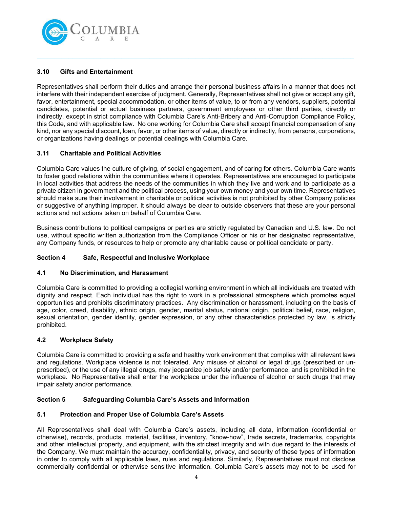

# 3.10 Gifts and Entertainment

Representatives shall perform their duties and arrange their personal business affairs in a manner that does not interfere with their independent exercise of judgment. Generally, Representatives shall not give or accept any gift, favor, entertainment, special accommodation, or other items of value, to or from any vendors, suppliers, potential candidates, potential or actual business partners, government employees or other third parties, directly or indirectly, except in strict compliance with Columbia Care's Anti-Bribery and Anti-Corruption Compliance Policy, this Code, and with applicable law. No one working for Columbia Care shall accept financial compensation of any kind, nor any special discount, loan, favor, or other items of value, directly or indirectly, from persons, corporations, or organizations having dealings or potential dealings with Columbia Care.

 $\_$  , and the set of the set of the set of the set of the set of the set of the set of the set of the set of the set of the set of the set of the set of the set of the set of the set of the set of the set of the set of th

# 3.11 Charitable and Political Activities

Columbia Care values the culture of giving, of social engagement, and of caring for others. Columbia Care wants to foster good relations within the communities where it operates. Representatives are encouraged to participate in local activities that address the needs of the communities in which they live and work and to participate as a private citizen in government and the political process, using your own money and your own time. Representatives should make sure their involvement in charitable or political activities is not prohibited by other Company policies or suggestive of anything improper. It should always be clear to outside observers that these are your personal actions and not actions taken on behalf of Columbia Care.

Business contributions to political campaigns or parties are strictly regulated by Canadian and U.S. law. Do not use, without specific written authorization from the Compliance Officer or his or her designated representative, any Company funds, or resources to help or promote any charitable cause or political candidate or party.

# Section 4 Safe, Respectful and Inclusive Workplace

#### 4.1 No Discrimination, and Harassment

Columbia Care is committed to providing a collegial working environment in which all individuals are treated with dignity and respect. Each individual has the right to work in a professional atmosphere which promotes equal opportunities and prohibits discriminatory practices. Any discrimination or harassment, including on the basis of age, color, creed, disability, ethnic origin, gender, marital status, national origin, political belief, race, religion, sexual orientation, gender identity, gender expression, or any other characteristics protected by law, is strictly prohibited.

#### 4.2 Workplace Safety

Columbia Care is committed to providing a safe and healthy work environment that complies with all relevant laws and regulations. Workplace violence is not tolerated. Any misuse of alcohol or legal drugs (prescribed or unprescribed), or the use of any illegal drugs, may jeopardize job safety and/or performance, and is prohibited in the workplace. No Representative shall enter the workplace under the influence of alcohol or such drugs that may impair safety and/or performance.

#### Section 5 Safeguarding Columbia Care's Assets and Information

#### 5.1 Protection and Proper Use of Columbia Care's Assets

All Representatives shall deal with Columbia Care's assets, including all data, information (confidential or otherwise), records, products, material, facilities, inventory, "know-how", trade secrets, trademarks, copyrights and other intellectual property, and equipment, with the strictest integrity and with due regard to the interests of the Company. We must maintain the accuracy, confidentiality, privacy, and security of these types of information in order to comply with all applicable laws, rules and regulations. Similarly, Representatives must not disclose commercially confidential or otherwise sensitive information. Columbia Care's assets may not to be used for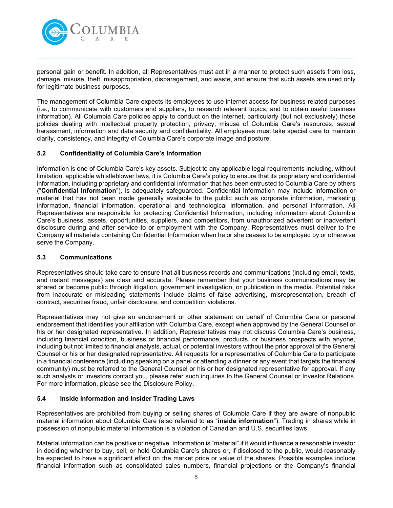

personal gain or benefit. In addition, all Representatives must act in a manner to protect such assets from loss, damage, misuse, theft, misappropriation, disparagement, and waste, and ensure that such assets are used only for legitimate business purposes.

 $\_$  , and the set of the set of the set of the set of the set of the set of the set of the set of the set of the set of the set of the set of the set of the set of the set of the set of the set of the set of the set of th

The management of Columbia Care expects its employees to use internet access for business-related purposes (i.e., to communicate with customers and suppliers, to research relevant topics, and to obtain useful business information). All Columbia Care policies apply to conduct on the internet, particularly (but not exclusively) those policies dealing with intellectual property protection, privacy, misuse of Columbia Care's resources, sexual harassment, information and data security and confidentiality. All employees must take special care to maintain clarity, consistency, and integrity of Columbia Care's corporate image and posture.

# 5.2 Confidentiality of Columbia Care's Information

Information is one of Columbia Care's key assets. Subject to any applicable legal requirements including, without limitation, applicable whistleblower laws, it is Columbia Care's policy to ensure that its proprietary and confidential information, including proprietary and confidential information that has been entrusted to Columbia Care by others ("Confidential Information"), is adequately safeguarded. Confidential Information may include information or material that has not been made generally available to the public such as corporate information, marketing information, financial information, operational and technological information, and personal information. All Representatives are responsible for protecting Confidential Information, including information about Columbia Care's business, assets, opportunities, suppliers, and competitors, from unauthorized advertent or inadvertent disclosure during and after service to or employment with the Company. Representatives must deliver to the Company all materials containing Confidential Information when he or she ceases to be employed by or otherwise serve the Company.

## 5.3 Communications

Representatives should take care to ensure that all business records and communications (including email, texts, and instant messages) are clear and accurate. Please remember that your business communications may be shared or become public through litigation, government investigation, or publication in the media. Potential risks from inaccurate or misleading statements include claims of false advertising, misrepresentation, breach of contract, securities fraud, unfair disclosure, and competition violations.

Representatives may not give an endorsement or other statement on behalf of Columbia Care or personal endorsement that identifies your affiliation with Columbia Care, except when approved by the General Counsel or his or her designated representative. In addition, Representatives may not discuss Columbia Care's business, including financial condition, business or financial performance, products, or business prospects with anyone, including but not limited to financial analysts, actual, or potential investors without the prior approval of the General Counsel or his or her designated representative. All requests for a representative of Columbia Care to participate in a financial conference (including speaking on a panel or attending a dinner or any event that targets the financial community) must be referred to the General Counsel or his or her designated representative for approval. If any such analysts or investors contact you, please refer such inquiries to the General Counsel or Investor Relations. For more information, please see the Disclosure Policy.

# 5.4 Inside Information and Insider Trading Laws

Representatives are prohibited from buying or selling shares of Columbia Care if they are aware of nonpublic material information about Columbia Care (also referred to as "inside information"). Trading in shares while in possession of nonpublic material information is a violation of Canadian and U.S. securities laws.

Material information can be positive or negative. Information is "material" if it would influence a reasonable investor in deciding whether to buy, sell, or hold Columbia Care's shares or, if disclosed to the public, would reasonably be expected to have a significant effect on the market price or value of the shares. Possible examples include financial information such as consolidated sales numbers, financial projections or the Company's financial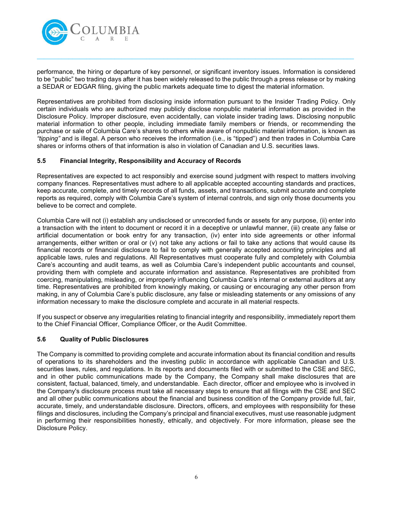

performance, the hiring or departure of key personnel, or significant inventory issues. Information is considered to be "public" two trading days after it has been widely released to the public through a press release or by making a SEDAR or EDGAR filing, giving the public markets adequate time to digest the material information.

 $\_$  , and the set of the set of the set of the set of the set of the set of the set of the set of the set of the set of the set of the set of the set of the set of the set of the set of the set of the set of the set of th

Representatives are prohibited from disclosing inside information pursuant to the Insider Trading Policy. Only certain individuals who are authorized may publicly disclose nonpublic material information as provided in the Disclosure Policy. Improper disclosure, even accidentally, can violate insider trading laws. Disclosing nonpublic material information to other people, including immediate family members or friends, or recommending the purchase or sale of Columbia Care's shares to others while aware of nonpublic material information, is known as "tipping" and is illegal. A person who receives the information (i.e., is "tipped") and then trades in Columbia Care shares or informs others of that information is also in violation of Canadian and U.S. securities laws.

# 5.5 Financial Integrity, Responsibility and Accuracy of Records

Representatives are expected to act responsibly and exercise sound judgment with respect to matters involving company finances. Representatives must adhere to all applicable accepted accounting standards and practices, keep accurate, complete, and timely records of all funds, assets, and transactions, submit accurate and complete reports as required, comply with Columbia Care's system of internal controls, and sign only those documents you believe to be correct and complete.

Columbia Care will not (i) establish any undisclosed or unrecorded funds or assets for any purpose, (ii) enter into a transaction with the intent to document or record it in a deceptive or unlawful manner, (iii) create any false or artificial documentation or book entry for any transaction, (iv) enter into side agreements or other informal arrangements, either written or oral or (v) not take any actions or fail to take any actions that would cause its financial records or financial disclosure to fail to comply with generally accepted accounting principles and all applicable laws, rules and regulations. All Representatives must cooperate fully and completely with Columbia Care's accounting and audit teams, as well as Columbia Care's independent public accountants and counsel, providing them with complete and accurate information and assistance. Representatives are prohibited from coercing, manipulating, misleading, or improperly influencing Columbia Care's internal or external auditors at any time. Representatives are prohibited from knowingly making, or causing or encouraging any other person from making, in any of Columbia Care's public disclosure, any false or misleading statements or any omissions of any information necessary to make the disclosure complete and accurate in all material respects.

If you suspect or observe any irregularities relating to financial integrity and responsibility, immediately report them to the Chief Financial Officer, Compliance Officer, or the Audit Committee.

#### 5.6 Quality of Public Disclosures

The Company is committed to providing complete and accurate information about its financial condition and results of operations to its shareholders and the investing public in accordance with applicable Canadian and U.S. securities laws, rules, and regulations. In its reports and documents filed with or submitted to the CSE and SEC, and in other public communications made by the Company, the Company shall make disclosures that are consistent, factual, balanced, timely, and understandable. Each director, officer and employee who is involved in the Company's disclosure process must take all necessary steps to ensure that all filings with the CSE and SEC and all other public communications about the financial and business condition of the Company provide full, fair, accurate, timely, and understandable disclosure. Directors, officers, and employees with responsibility for these filings and disclosures, including the Company's principal and financial executives, must use reasonable judgment in performing their responsibilities honestly, ethically, and objectively. For more information, please see the Disclosure Policy.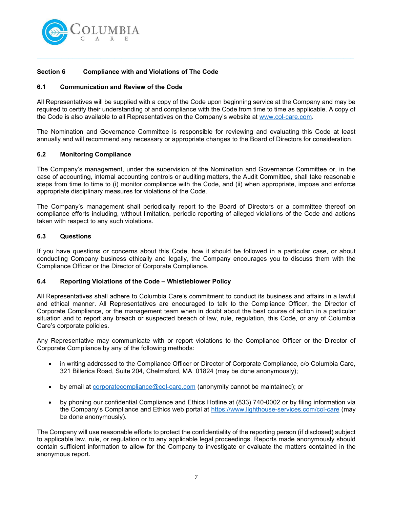

# Section 6 Compliance with and Violations of The Code

## 6.1 Communication and Review of the Code

All Representatives will be supplied with a copy of the Code upon beginning service at the Company and may be required to certify their understanding of and compliance with the Code from time to time as applicable. A copy of the Code is also available to all Representatives on the Company's website at www.col-care.com.

 $\_$  , and the set of the set of the set of the set of the set of the set of the set of the set of the set of the set of the set of the set of the set of the set of the set of the set of the set of the set of the set of th

The Nomination and Governance Committee is responsible for reviewing and evaluating this Code at least annually and will recommend any necessary or appropriate changes to the Board of Directors for consideration.

# 6.2 Monitoring Compliance

The Company's management, under the supervision of the Nomination and Governance Committee or, in the case of accounting, internal accounting controls or auditing matters, the Audit Committee, shall take reasonable steps from time to time to (i) monitor compliance with the Code, and (ii) when appropriate, impose and enforce appropriate disciplinary measures for violations of the Code.

The Company's management shall periodically report to the Board of Directors or a committee thereof on compliance efforts including, without limitation, periodic reporting of alleged violations of the Code and actions taken with respect to any such violations.

# 6.3 Questions

If you have questions or concerns about this Code, how it should be followed in a particular case, or about conducting Company business ethically and legally, the Company encourages you to discuss them with the Compliance Officer or the Director of Corporate Compliance.

#### 6.4 Reporting Violations of the Code – Whistleblower Policy

All Representatives shall adhere to Columbia Care's commitment to conduct its business and affairs in a lawful and ethical manner. All Representatives are encouraged to talk to the Compliance Officer, the Director of Corporate Compliance, or the management team when in doubt about the best course of action in a particular situation and to report any breach or suspected breach of law, rule, regulation, this Code, or any of Columbia Care's corporate policies.

Any Representative may communicate with or report violations to the Compliance Officer or the Director of Corporate Compliance by any of the following methods:

- in writing addressed to the Compliance Officer or Director of Corporate Compliance, c/o Columbia Care, 321 Billerica Road, Suite 204, Chelmsford, MA 01824 (may be done anonymously);
- by email at corporatecompliance@col-care.com (anonymity cannot be maintained); or
- by phoning our confidential Compliance and Ethics Hotline at (833) 740-0002 or by filing information via the Company's Compliance and Ethics web portal at https://www.lighthouse-services.com/col-care (may be done anonymously).

The Company will use reasonable efforts to protect the confidentiality of the reporting person (if disclosed) subject to applicable law, rule, or regulation or to any applicable legal proceedings. Reports made anonymously should contain sufficient information to allow for the Company to investigate or evaluate the matters contained in the anonymous report.